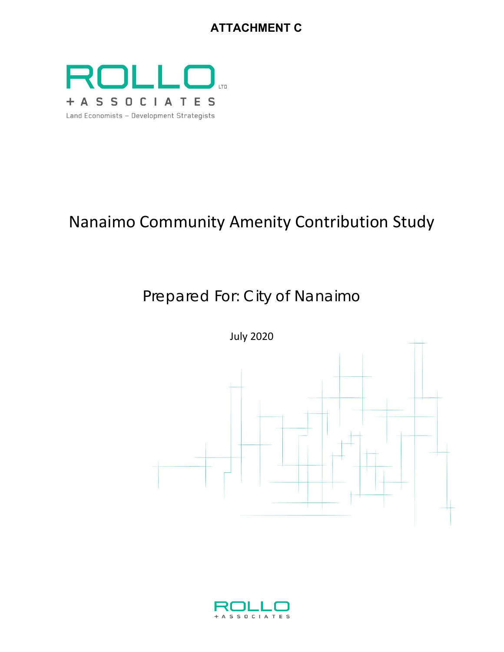# **ATTACHMENT C**



# Nanaimo Community Amenity Contribution Study

# Prepared For: City of Nanaimo



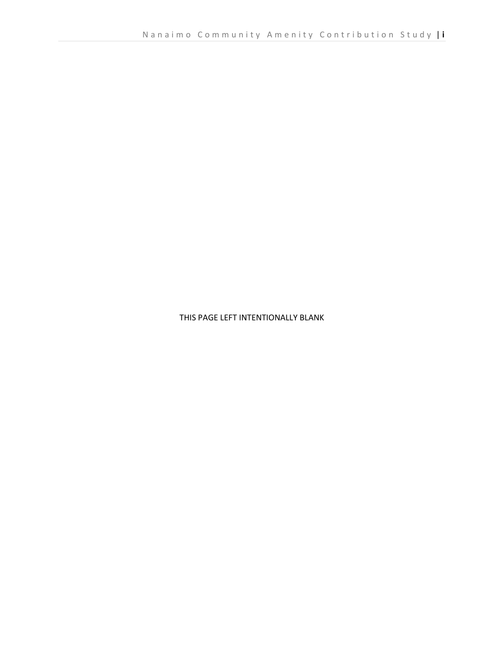#### THIS PAGE LEFT INTENTIONALLY BLANK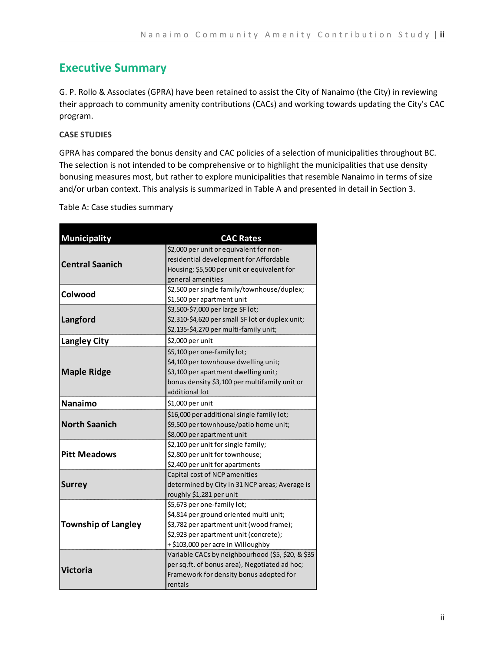# <span id="page-2-0"></span>**Executive Summary**

G. P. Rollo & Associates (GPRA) have been retained to assist the City of Nanaimo (the City) in reviewing their approach to community amenity contributions (CACs) and working towards updating the City's CAC program.

#### **CASE STUDIES**

GPRA has compared the bonus density and CAC policies of a selection of municipalities throughout BC. The selection is not intended to be comprehensive or to highlight the municipalities that use density bonusing measures most, but rather to explore municipalities that resemble Nanaimo in terms of size and/or urban context. This analysis is summarized in Table A and presented in detail in Section 3.

Table A: Case studies summary

| <b>Municipality</b>        | <b>CAC Rates</b>                                  |  |  |
|----------------------------|---------------------------------------------------|--|--|
|                            | \$2,000 per unit or equivalent for non-           |  |  |
|                            | residential development for Affordable            |  |  |
| <b>Central Saanich</b>     | Housing; \$5,500 per unit or equivalent for       |  |  |
|                            | general amenities                                 |  |  |
|                            | \$2,500 per single family/townhouse/duplex;       |  |  |
| Colwood                    | \$1,500 per apartment unit                        |  |  |
|                            | \$3,500-\$7,000 per large SF lot;                 |  |  |
| Langford                   | \$2,310-\$4,620 per small SF lot or duplex unit;  |  |  |
|                            | \$2,135-\$4,270 per multi-family unit;            |  |  |
| <b>Langley City</b>        | \$2,000 per unit                                  |  |  |
|                            | \$5,100 per one-family lot;                       |  |  |
|                            | \$4,100 per townhouse dwelling unit;              |  |  |
| <b>Maple Ridge</b>         | \$3,100 per apartment dwelling unit;              |  |  |
|                            | bonus density \$3,100 per multifamily unit or     |  |  |
|                            | additional lot                                    |  |  |
| <b>Nanaimo</b>             | \$1,000 per unit                                  |  |  |
|                            | \$16,000 per additional single family lot;        |  |  |
| <b>North Saanich</b>       | \$9,500 per townhouse/patio home unit;            |  |  |
|                            | \$8,000 per apartment unit                        |  |  |
|                            | \$2,100 per unit for single family;               |  |  |
| <b>Pitt Meadows</b>        | \$2,800 per unit for townhouse;                   |  |  |
|                            | \$2,400 per unit for apartments                   |  |  |
|                            | Capital cost of NCP amenities                     |  |  |
| <b>Surrey</b>              | determined by City in 31 NCP areas; Average is    |  |  |
|                            | roughly \$1,281 per unit                          |  |  |
|                            | \$5,673 per one-family lot;                       |  |  |
|                            | \$4,814 per ground oriented multi unit;           |  |  |
| <b>Township of Langley</b> | \$3,782 per apartment unit (wood frame);          |  |  |
|                            | \$2,923 per apartment unit (concrete);            |  |  |
|                            | + \$103,000 per acre in Willoughby                |  |  |
|                            | Variable CACs by neighbourhood (\$5, \$20, & \$35 |  |  |
| <b>Victoria</b>            | per sq.ft. of bonus area), Negotiated ad hoc;     |  |  |
|                            | Framework for density bonus adopted for           |  |  |
|                            | rentals                                           |  |  |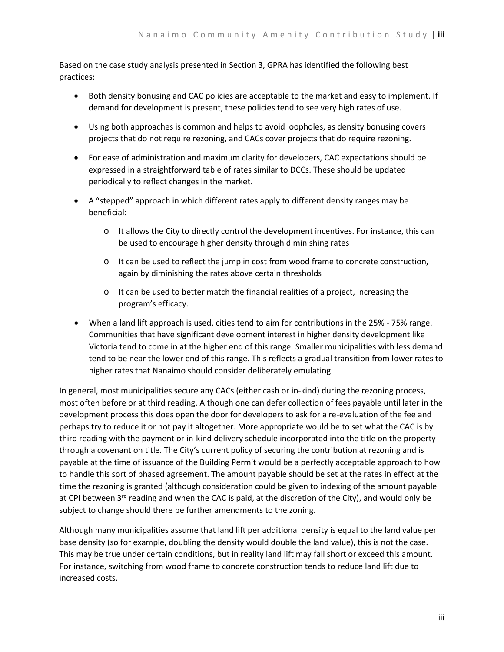Based on the case study analysis presented in Section 3, GPRA has identified the following best practices:

- Both density bonusing and CAC policies are acceptable to the market and easy to implement. If demand for development is present, these policies tend to see very high rates of use.
- Using both approaches is common and helps to avoid loopholes, as density bonusing covers projects that do not require rezoning, and CACs cover projects that do require rezoning.
- For ease of administration and maximum clarity for developers, CAC expectations should be expressed in a straightforward table of rates similar to DCCs. These should be updated periodically to reflect changes in the market.
- A "stepped" approach in which different rates apply to different density ranges may be beneficial:
	- o It allows the City to directly control the development incentives. For instance, this can be used to encourage higher density through diminishing rates
	- o It can be used to reflect the jump in cost from wood frame to concrete construction, again by diminishing the rates above certain thresholds
	- o It can be used to better match the financial realities of a project, increasing the program's efficacy.
- When a land lift approach is used, cities tend to aim for contributions in the 25% 75% range. Communities that have significant development interest in higher density development like Victoria tend to come in at the higher end of this range. Smaller municipalities with less demand tend to be near the lower end of this range. This reflects a gradual transition from lower rates to higher rates that Nanaimo should consider deliberately emulating.

In general, most municipalities secure any CACs (either cash or in-kind) during the rezoning process, most often before or at third reading. Although one can defer collection of fees payable until later in the development process this does open the door for developers to ask for a re-evaluation of the fee and perhaps try to reduce it or not pay it altogether. More appropriate would be to set what the CAC is by third reading with the payment or in-kind delivery schedule incorporated into the title on the property through a covenant on title. The City's current policy of securing the contribution at rezoning and is payable at the time of issuance of the Building Permit would be a perfectly acceptable approach to how to handle this sort of phased agreement. The amount payable should be set at the rates in effect at the time the rezoning is granted (although consideration could be given to indexing of the amount payable at CPI between  $3^{rd}$  reading and when the CAC is paid, at the discretion of the City), and would only be subject to change should there be further amendments to the zoning.

Although many municipalities assume that land lift per additional density is equal to the land value per base density (so for example, doubling the density would double the land value), this is not the case. This may be true under certain conditions, but in reality land lift may fall short or exceed this amount. For instance, switching from wood frame to concrete construction tends to reduce land lift due to increased costs.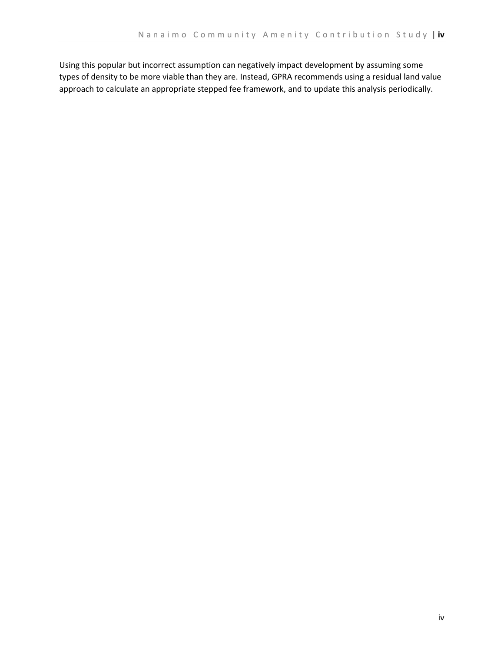Using this popular but incorrect assumption can negatively impact development by assuming some types of density to be more viable than they are. Instead, GPRA recommends using a residual land value approach to calculate an appropriate stepped fee framework, and to update this analysis periodically.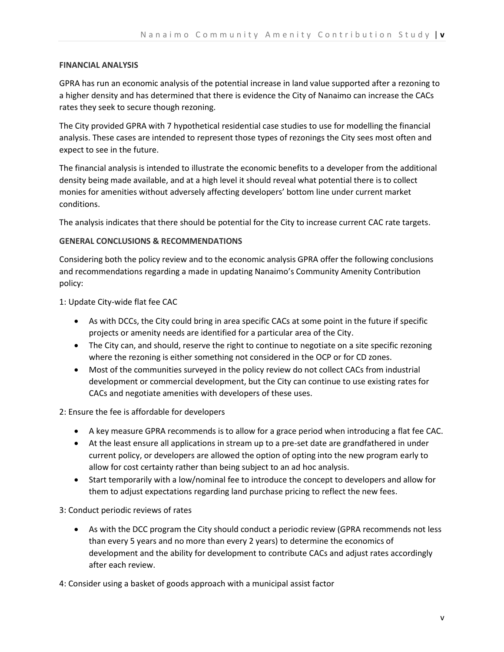#### **FINANCIAL ANALYSIS**

GPRA has run an economic analysis of the potential increase in land value supported after a rezoning to a higher density and has determined that there is evidence the City of Nanaimo can increase the CACs rates they seek to secure though rezoning.

The City provided GPRA with 7 hypothetical residential case studies to use for modelling the financial analysis. These cases are intended to represent those types of rezonings the City sees most often and expect to see in the future.

The financial analysis is intended to illustrate the economic benefits to a developer from the additional density being made available, and at a high level it should reveal what potential there is to collect monies for amenities without adversely affecting developers' bottom line under current market conditions.

The analysis indicates that there should be potential for the City to increase current CAC rate targets.

#### **GENERAL CONCLUSIONS & RECOMMENDATIONS**

Considering both the policy review and to the economic analysis GPRA offer the following conclusions and recommendations regarding a made in updating Nanaimo's Community Amenity Contribution policy:

1: Update City-wide flat fee CAC

- As with DCCs, the City could bring in area specific CACs at some point in the future if specific projects or amenity needs are identified for a particular area of the City.
- The City can, and should, reserve the right to continue to negotiate on a site specific rezoning where the rezoning is either something not considered in the OCP or for CD zones.
- Most of the communities surveyed in the policy review do not collect CACs from industrial development or commercial development, but the City can continue to use existing rates for CACs and negotiate amenities with developers of these uses.

2: Ensure the fee is affordable for developers

- A key measure GPRA recommends is to allow for a grace period when introducing a flat fee CAC.
- At the least ensure all applications in stream up to a pre-set date are grandfathered in under current policy, or developers are allowed the option of opting into the new program early to allow for cost certainty rather than being subject to an ad hoc analysis.
- Start temporarily with a low/nominal fee to introduce the concept to developers and allow for them to adjust expectations regarding land purchase pricing to reflect the new fees.

#### 3: Conduct periodic reviews of rates

• As with the DCC program the City should conduct a periodic review (GPRA recommends not less than every 5 years and no more than every 2 years) to determine the economics of development and the ability for development to contribute CACs and adjust rates accordingly after each review.

4: Consider using a basket of goods approach with a municipal assist factor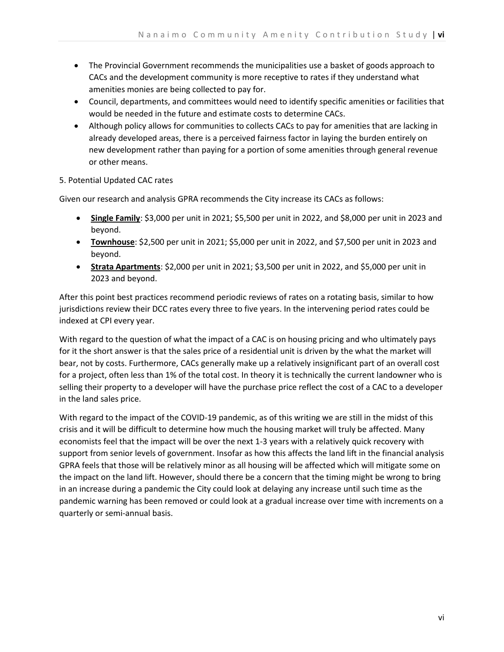- The Provincial Government recommends the municipalities use a basket of goods approach to CACs and the development community is more receptive to rates if they understand what amenities monies are being collected to pay for.
- Council, departments, and committees would need to identify specific amenities or facilities that would be needed in the future and estimate costs to determine CACs.
- Although policy allows for communities to collects CACs to pay for amenities that are lacking in already developed areas, there is a perceived fairness factor in laying the burden entirely on new development rather than paying for a portion of some amenities through general revenue or other means.

### 5. Potential Updated CAC rates

Given our research and analysis GPRA recommends the City increase its CACs as follows:

- **Single Family**: \$3,000 per unit in 2021; \$5,500 per unit in 2022, and \$8,000 per unit in 2023 and beyond.
- **Townhouse**: \$2,500 per unit in 2021; \$5,000 per unit in 2022, and \$7,500 per unit in 2023 and beyond.
- **Strata Apartments**: \$2,000 per unit in 2021; \$3,500 per unit in 2022, and \$5,000 per unit in 2023 and beyond.

After this point best practices recommend periodic reviews of rates on a rotating basis, similar to how jurisdictions review their DCC rates every three to five years. In the intervening period rates could be indexed at CPI every year.

With regard to the question of what the impact of a CAC is on housing pricing and who ultimately pays for it the short answer is that the sales price of a residential unit is driven by the what the market will bear, not by costs. Furthermore, CACs generally make up a relatively insignificant part of an overall cost for a project, often less than 1% of the total cost. In theory it is technically the current landowner who is selling their property to a developer will have the purchase price reflect the cost of a CAC to a developer in the land sales price.

With regard to the impact of the COVID-19 pandemic, as of this writing we are still in the midst of this crisis and it will be difficult to determine how much the housing market will truly be affected. Many economists feel that the impact will be over the next 1-3 years with a relatively quick recovery with support from senior levels of government. Insofar as how this affects the land lift in the financial analysis GPRA feels that those will be relatively minor as all housing will be affected which will mitigate some on the impact on the land lift. However, should there be a concern that the timing might be wrong to bring in an increase during a pandemic the City could look at delaying any increase until such time as the pandemic warning has been removed or could look at a gradual increase over time with increments on a quarterly or semi-annual basis.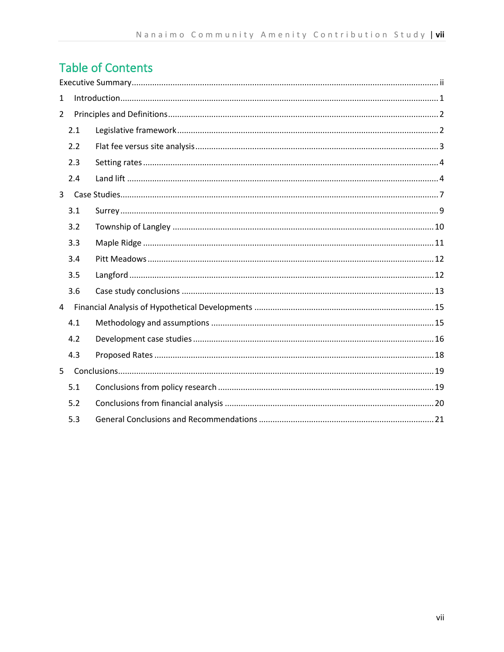# **Table of Contents**

| 1              |     | Introduction 1.1 |  |  |  |
|----------------|-----|------------------|--|--|--|
| $\overline{2}$ |     |                  |  |  |  |
|                | 2.1 |                  |  |  |  |
|                | 2.2 |                  |  |  |  |
|                | 2.3 |                  |  |  |  |
|                | 2.4 |                  |  |  |  |
| 3 <sup>7</sup> |     |                  |  |  |  |
|                | 3.1 |                  |  |  |  |
|                | 3.2 |                  |  |  |  |
|                | 3.3 |                  |  |  |  |
|                | 3.4 |                  |  |  |  |
|                | 3.5 |                  |  |  |  |
|                | 3.6 |                  |  |  |  |
| $\overline{4}$ |     |                  |  |  |  |
|                | 4.1 |                  |  |  |  |
|                | 4.2 |                  |  |  |  |
|                | 4.3 |                  |  |  |  |
| 5              |     |                  |  |  |  |
|                | 5.1 |                  |  |  |  |
|                | 5.2 |                  |  |  |  |
|                | 5.3 |                  |  |  |  |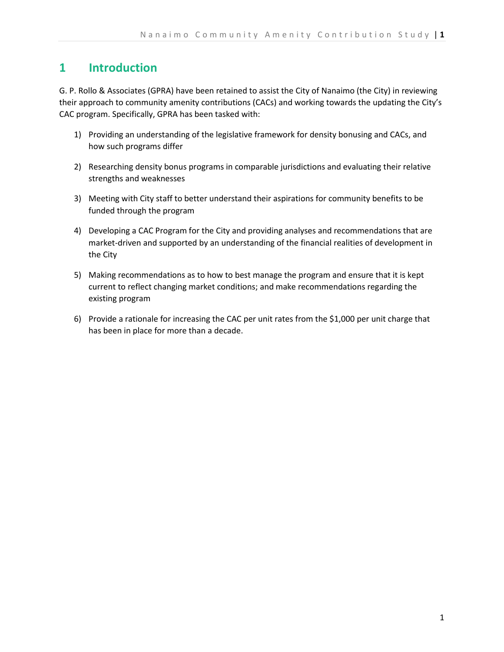# <span id="page-8-0"></span>**1 Introduction**

G. P. Rollo & Associates (GPRA) have been retained to assist the City of Nanaimo (the City) in reviewing their approach to community amenity contributions (CACs) and working towards the updating the City's CAC program. Specifically, GPRA has been tasked with:

- 1) Providing an understanding of the legislative framework for density bonusing and CACs, and how such programs differ
- 2) Researching density bonus programs in comparable jurisdictions and evaluating their relative strengths and weaknesses
- 3) Meeting with City staff to better understand their aspirations for community benefits to be funded through the program
- 4) Developing a CAC Program for the City and providing analyses and recommendations that are market-driven and supported by an understanding of the financial realities of development in the City
- 5) Making recommendations as to how to best manage the program and ensure that it is kept current to reflect changing market conditions; and make recommendations regarding the existing program
- 6) Provide a rationale for increasing the CAC per unit rates from the \$1,000 per unit charge that has been in place for more than a decade.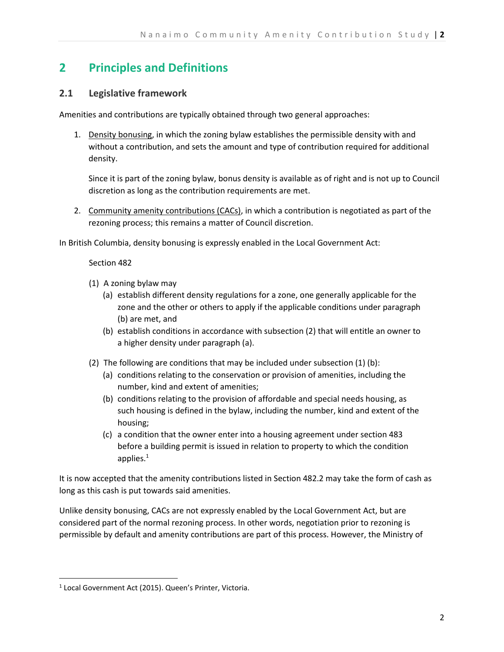# <span id="page-9-0"></span>**2 Principles and Definitions**

# <span id="page-9-1"></span>**2.1 Legislative framework**

Amenities and contributions are typically obtained through two general approaches:

1. Density bonusing, in which the zoning bylaw establishes the permissible density with and without a contribution, and sets the amount and type of contribution required for additional density.

Since it is part of the zoning bylaw, bonus density is available as of right and is not up to Council discretion as long as the contribution requirements are met.

2. Community amenity contributions (CACs), in which a contribution is negotiated as part of the rezoning process; this remains a matter of Council discretion.

In British Columbia, density bonusing is expressly enabled in the Local Government Act:

Section 482

- (1) A zoning bylaw may
	- (a) establish different density regulations for a zone, one generally applicable for the zone and the other or others to apply if the applicable conditions under paragraph (b) are met, and
	- (b) establish conditions in accordance with subsection (2) that will entitle an owner to a higher density under paragraph (a).
- (2) The following are conditions that may be included under subsection  $(1)$  (b):
	- (a) conditions relating to the conservation or provision of amenities, including the number, kind and extent of amenities;
	- (b) conditions relating to the provision of affordable and special needs housing, as such housing is defined in the bylaw, including the number, kind and extent of the housing;
	- (c) a condition that the owner enter into a housing agreement under section 483 before a building permit is issued in relation to property to which the condition applies. $1$

It is now accepted that the amenity contributions listed in Section 482.2 may take the form of cash as long as this cash is put towards said amenities.

Unlike density bonusing, CACs are not expressly enabled by the Local Government Act, but are considered part of the normal rezoning process. In other words, negotiation prior to rezoning is permissible by default and amenity contributions are part of this process. However, the Ministry of

<sup>&</sup>lt;sup>1</sup> Local Government Act (2015). Queen's Printer, Victoria.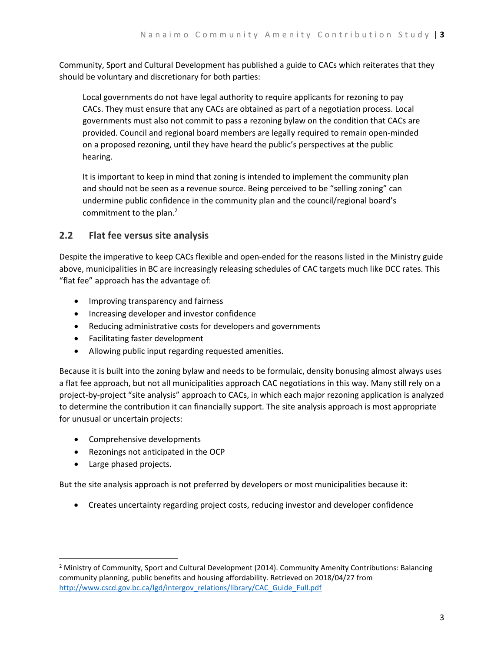Community, Sport and Cultural Development has published a guide to CACs which reiterates that they should be voluntary and discretionary for both parties:

Local governments do not have legal authority to require applicants for rezoning to pay CACs. They must ensure that any CACs are obtained as part of a negotiation process. Local governments must also not commit to pass a rezoning bylaw on the condition that CACs are provided. Council and regional board members are legally required to remain open-minded on a proposed rezoning, until they have heard the public's perspectives at the public hearing.

It is important to keep in mind that zoning is intended to implement the community plan and should not be seen as a revenue source. Being perceived to be "selling zoning" can undermine public confidence in the community plan and the council/regional board's commitment to the plan.<sup>2</sup>

# <span id="page-10-0"></span>**2.2 Flat fee versus site analysis**

Despite the imperative to keep CACs flexible and open-ended for the reasons listed in the Ministry guide above, municipalities in BC are increasingly releasing schedules of CAC targets much like DCC rates. This "flat fee" approach has the advantage of:

- Improving transparency and fairness
- Increasing developer and investor confidence
- Reducing administrative costs for developers and governments
- Facilitating faster development
- Allowing public input regarding requested amenities.

Because it is built into the zoning bylaw and needs to be formulaic, density bonusing almost always uses a flat fee approach, but not all municipalities approach CAC negotiations in this way. Many still rely on a project-by-project "site analysis" approach to CACs, in which each major rezoning application is analyzed to determine the contribution it can financially support. The site analysis approach is most appropriate for unusual or uncertain projects:

- Comprehensive developments
- Rezonings not anticipated in the OCP
- Large phased projects.

But the site analysis approach is not preferred by developers or most municipalities because it:

• Creates uncertainty regarding project costs, reducing investor and developer confidence

<sup>&</sup>lt;sup>2</sup> Ministry of Community, Sport and Cultural Development (2014). Community Amenity Contributions: Balancing community planning, public benefits and housing affordability. Retrieved on 2018/04/27 from [http://www.cscd.gov.bc.ca/lgd/intergov\\_relations/library/CAC\\_Guide\\_Full.pdf](http://www.cscd.gov.bc.ca/lgd/intergov_relations/library/CAC_Guide_Full.pdf)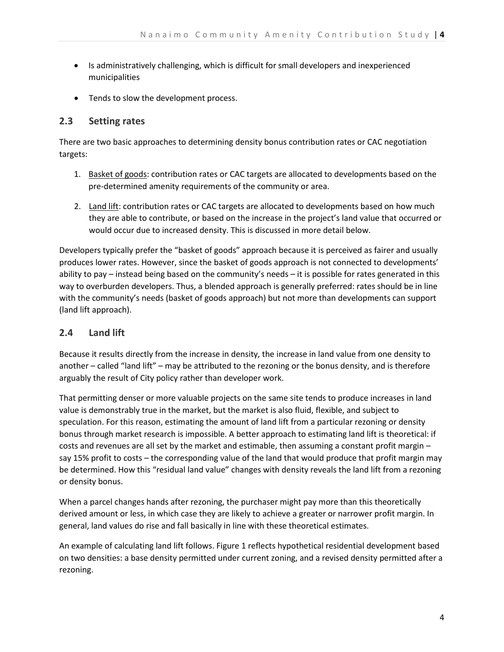- Is administratively challenging, which is difficult for small developers and inexperienced municipalities
- Tends to slow the development process.

### <span id="page-11-0"></span>**2.3 Setting rates**

There are two basic approaches to determining density bonus contribution rates or CAC negotiation targets:

- 1. Basket of goods: contribution rates or CAC targets are allocated to developments based on the pre-determined amenity requirements of the community or area.
- 2. Land lift: contribution rates or CAC targets are allocated to developments based on how much they are able to contribute, or based on the increase in the project's land value that occurred or would occur due to increased density. This is discussed in more detail below.

Developers typically prefer the "basket of goods" approach because it is perceived as fairer and usually produces lower rates. However, since the basket of goods approach is not connected to developments' ability to pay – instead being based on the community's needs – it is possible for rates generated in this way to overburden developers. Thus, a blended approach is generally preferred: rates should be in line with the community's needs (basket of goods approach) but not more than developments can support (land lift approach).

# <span id="page-11-1"></span>**2.4 Land lift**

Because it results directly from the increase in density, the increase in land value from one density to another – called "land lift" – may be attributed to the rezoning or the bonus density, and is therefore arguably the result of City policy rather than developer work.

That permitting denser or more valuable projects on the same site tends to produce increases in land value is demonstrably true in the market, but the market is also fluid, flexible, and subject to speculation. For this reason, estimating the amount of land lift from a particular rezoning or density bonus through market research is impossible. A better approach to estimating land lift is theoretical: if costs and revenues are all set by the market and estimable, then assuming a constant profit margin – say 15% profit to costs – the corresponding value of the land that would produce that profit margin may be determined. How this "residual land value" changes with density reveals the land lift from a rezoning or density bonus.

When a parcel changes hands after rezoning, the purchaser might pay more than this theoretically derived amount or less, in which case they are likely to achieve a greater or narrower profit margin. In general, land values do rise and fall basically in line with these theoretical estimates.

An example of calculating land lift follows. Figure 1 reflects hypothetical residential development based on two densities: a base density permitted under current zoning, and a revised density permitted after a rezoning.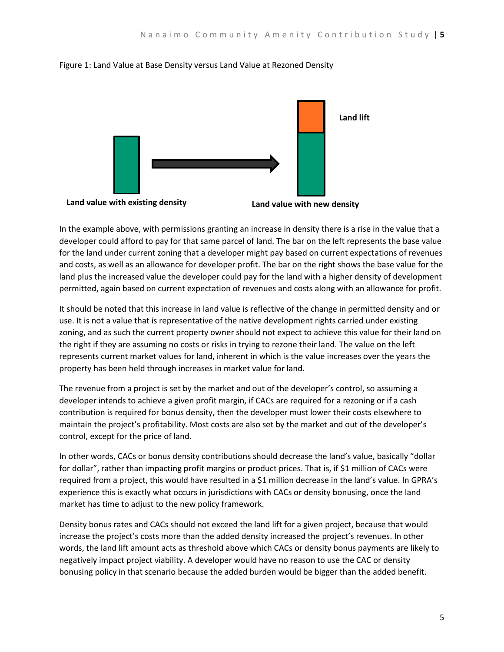

#### Figure 1: Land Value at Base Density versus Land Value at Rezoned Density

In the example above, with permissions granting an increase in density there is a rise in the value that a developer could afford to pay for that same parcel of land. The bar on the left represents the base value for the land under current zoning that a developer might pay based on current expectations of revenues and costs, as well as an allowance for developer profit. The bar on the right shows the base value for the land plus the increased value the developer could pay for the land with a higher density of development permitted, again based on current expectation of revenues and costs along with an allowance for profit.

It should be noted that this increase in land value is reflective of the change in permitted density and or use. It is not a value that is representative of the native development rights carried under existing zoning, and as such the current property owner should not expect to achieve this value for their land on the right if they are assuming no costs or risks in trying to rezone their land. The value on the left represents current market values for land, inherent in which is the value increases over the years the property has been held through increases in market value for land.

The revenue from a project is set by the market and out of the developer's control, so assuming a developer intends to achieve a given profit margin, if CACs are required for a rezoning or if a cash contribution is required for bonus density, then the developer must lower their costs elsewhere to maintain the project's profitability. Most costs are also set by the market and out of the developer's control, except for the price of land.

In other words, CACs or bonus density contributions should decrease the land's value, basically "dollar for dollar", rather than impacting profit margins or product prices. That is, if \$1 million of CACs were required from a project, this would have resulted in a \$1 million decrease in the land's value. In GPRA's experience this is exactly what occurs in jurisdictions with CACs or density bonusing, once the land market has time to adjust to the new policy framework.

Density bonus rates and CACs should not exceed the land lift for a given project, because that would increase the project's costs more than the added density increased the project's revenues. In other words, the land lift amount acts as threshold above which CACs or density bonus payments are likely to negatively impact project viability. A developer would have no reason to use the CAC or density bonusing policy in that scenario because the added burden would be bigger than the added benefit.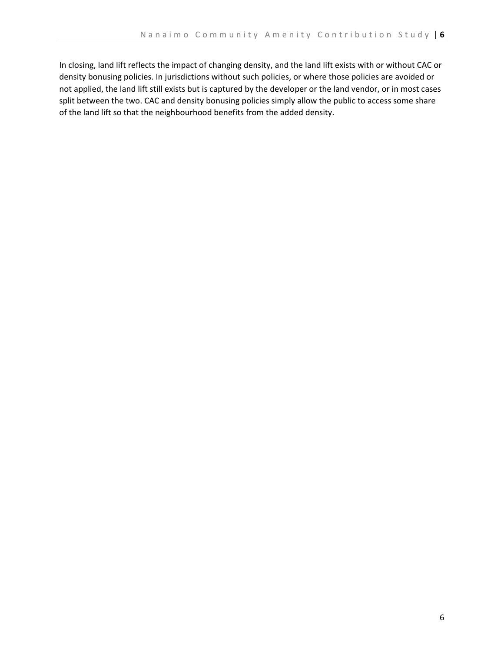In closing, land lift reflects the impact of changing density, and the land lift exists with or without CAC or density bonusing policies. In jurisdictions without such policies, or where those policies are avoided or not applied, the land lift still exists but is captured by the developer or the land vendor, or in most cases split between the two. CAC and density bonusing policies simply allow the public to access some share of the land lift so that the neighbourhood benefits from the added density.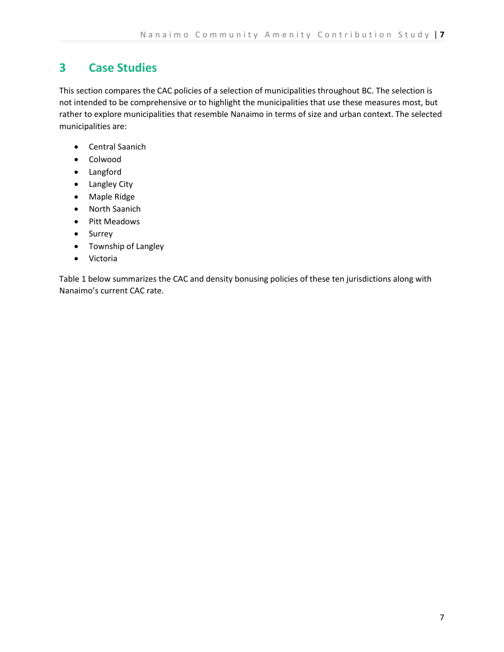# <span id="page-14-0"></span>**3 Case Studies**

This section compares the CAC policies of a selection of municipalities throughout BC. The selection is not intended to be comprehensive or to highlight the municipalities that use these measures most, but rather to explore municipalities that resemble Nanaimo in terms of size and urban context. The selected municipalities are:

- Central Saanich
- Colwood
- Langford
- Langley City
- Maple Ridge
- North Saanich
- Pitt Meadows
- Surrey
- Township of Langley
- Victoria

Table 1 below summarizes the CAC and density bonusing policies of these ten jurisdictions along with Nanaimo's current CAC rate.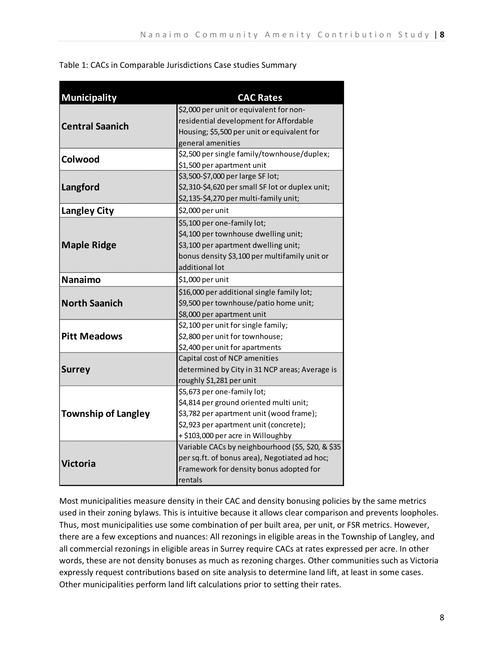Table 1: CACs in Comparable Jurisdictions Case studies Summary

| <b>Municipality</b>        | <b>CAC Rates</b>                                  |  |
|----------------------------|---------------------------------------------------|--|
|                            | \$2,000 per unit or equivalent for non-           |  |
| <b>Central Saanich</b>     | residential development for Affordable            |  |
|                            | Housing; \$5,500 per unit or equivalent for       |  |
|                            | general amenities                                 |  |
| Colwood                    | \$2,500 per single family/townhouse/duplex;       |  |
|                            | \$1,500 per apartment unit                        |  |
|                            | \$3,500-\$7,000 per large SF lot;                 |  |
| Langford                   | \$2,310-\$4,620 per small SF lot or duplex unit;  |  |
|                            | \$2,135-\$4,270 per multi-family unit;            |  |
| <b>Langley City</b>        | \$2,000 per unit                                  |  |
|                            | \$5,100 per one-family lot;                       |  |
|                            | \$4,100 per townhouse dwelling unit;              |  |
| <b>Maple Ridge</b>         | \$3,100 per apartment dwelling unit;              |  |
|                            | bonus density \$3,100 per multifamily unit or     |  |
|                            | additional lot                                    |  |
| <b>Nanaimo</b>             | \$1,000 per unit                                  |  |
|                            | \$16,000 per additional single family lot;        |  |
| <b>North Saanich</b>       | \$9,500 per townhouse/patio home unit;            |  |
|                            | \$8,000 per apartment unit                        |  |
|                            | \$2,100 per unit for single family;               |  |
| <b>Pitt Meadows</b>        | \$2,800 per unit for townhouse;                   |  |
|                            | \$2,400 per unit for apartments                   |  |
|                            | Capital cost of NCP amenities                     |  |
| <b>Surrey</b>              | determined by City in 31 NCP areas; Average is    |  |
|                            | roughly \$1,281 per unit                          |  |
|                            | \$5,673 per one-family lot;                       |  |
|                            | \$4,814 per ground oriented multi unit;           |  |
| <b>Township of Langley</b> | \$3,782 per apartment unit (wood frame);          |  |
|                            | \$2,923 per apartment unit (concrete);            |  |
|                            | + \$103,000 per acre in Willoughby                |  |
|                            | Variable CACs by neighbourhood (\$5, \$20, & \$35 |  |
| <b>Victoria</b>            | per sq.ft. of bonus area), Negotiated ad hoc;     |  |
|                            | Framework for density bonus adopted for           |  |
|                            | rentals                                           |  |

Most municipalities measure density in their CAC and density bonusing policies by the same metrics used in their zoning bylaws. This is intuitive because it allows clear comparison and prevents loopholes. Thus, most municipalities use some combination of per built area, per unit, or FSR metrics. However, there are a few exceptions and nuances: All rezonings in eligible areas in the Township of Langley, and all commercial rezonings in eligible areas in Surrey require CACs at rates expressed per acre. In other words, these are not density bonuses as much as rezoning charges. Other communities such as Victoria expressly request contributions based on site analysis to determine land lift, at least in some cases. Other municipalities perform land lift calculations prior to setting their rates.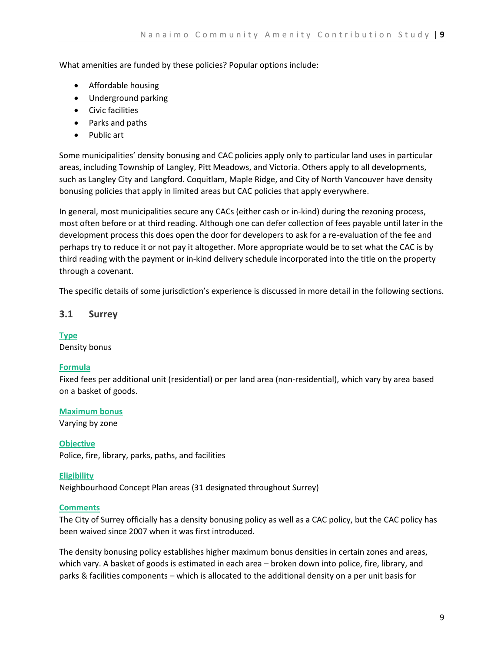What amenities are funded by these policies? Popular options include:

- Affordable housing
- Underground parking
- Civic facilities
- Parks and paths
- Public art

Some municipalities' density bonusing and CAC policies apply only to particular land uses in particular areas, including Township of Langley, Pitt Meadows, and Victoria. Others apply to all developments, such as Langley City and Langford. Coquitlam, Maple Ridge, and City of North Vancouver have density bonusing policies that apply in limited areas but CAC policies that apply everywhere.

In general, most municipalities secure any CACs (either cash or in-kind) during the rezoning process, most often before or at third reading. Although one can defer collection of fees payable until later in the development process this does open the door for developers to ask for a re-evaluation of the fee and perhaps try to reduce it or not pay it altogether. More appropriate would be to set what the CAC is by third reading with the payment or in-kind delivery schedule incorporated into the title on the property through a covenant.

The specific details of some jurisdiction's experience is discussed in more detail in the following sections.

#### <span id="page-16-0"></span>**3.1 Surrey**

**Type** Density bonus

#### **Formula**

Fixed fees per additional unit (residential) or per land area (non-residential), which vary by area based on a basket of goods.

#### **Maximum bonus**

Varying by zone

**Objective** Police, fire, library, parks, paths, and facilities

#### **Eligibility**

Neighbourhood Concept Plan areas (31 designated throughout Surrey)

#### **Comments**

The City of Surrey officially has a density bonusing policy as well as a CAC policy, but the CAC policy has been waived since 2007 when it was first introduced.

The density bonusing policy establishes higher maximum bonus densities in certain zones and areas, which vary. A basket of goods is estimated in each area – broken down into police, fire, library, and parks & facilities components – which is allocated to the additional density on a per unit basis for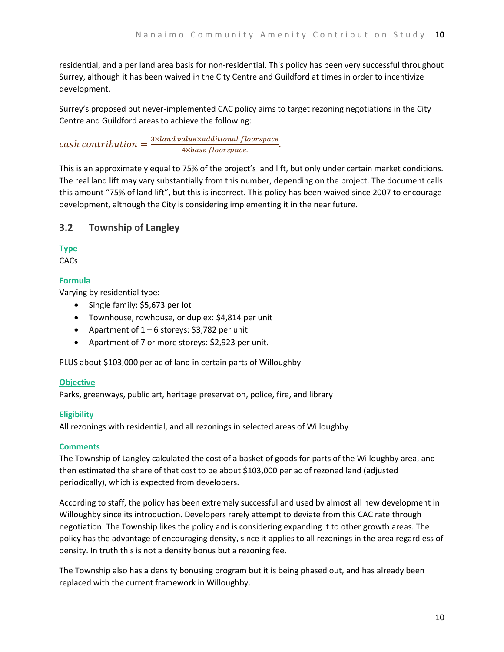residential, and a per land area basis for non-residential. This policy has been very successful throughout Surrey, although it has been waived in the City Centre and Guildford at times in order to incentivize development.

Surrey's proposed but never-implemented CAC policy aims to target rezoning negotiations in the City Centre and Guildford areas to achieve the following:

 $cash$  contribution =  $\frac{3 \times land \ value \times additional \ floorspace}{4 \times base \ floarspace}$ anae *xaaantomat Joor space*.<br>4×base floorspace.

This is an approximately equal to 75% of the project's land lift, but only under certain market conditions. The real land lift may vary substantially from this number, depending on the project. The document calls this amount "75% of land lift", but this is incorrect. This policy has been waived since 2007 to encourage development, although the City is considering implementing it in the near future.

# <span id="page-17-0"></span>**3.2 Township of Langley**

### **Type**

CACs

## **Formula**

Varying by residential type:

- Single family: \$5,673 per lot
- Townhouse, rowhouse, or duplex: \$4,814 per unit
- Apartment of  $1 6$  storeys: \$3,782 per unit
- Apartment of 7 or more storeys: \$2,923 per unit.

PLUS about \$103,000 per ac of land in certain parts of Willoughby

### **Objective**

Parks, greenways, public art, heritage preservation, police, fire, and library

### **Eligibility**

All rezonings with residential, and all rezonings in selected areas of Willoughby

# **Comments**

The Township of Langley calculated the cost of a basket of goods for parts of the Willoughby area, and then estimated the share of that cost to be about \$103,000 per ac of rezoned land (adjusted periodically), which is expected from developers.

According to staff, the policy has been extremely successful and used by almost all new development in Willoughby since its introduction. Developers rarely attempt to deviate from this CAC rate through negotiation. The Township likes the policy and is considering expanding it to other growth areas. The policy has the advantage of encouraging density, since it applies to all rezonings in the area regardless of density. In truth this is not a density bonus but a rezoning fee.

The Township also has a density bonusing program but it is being phased out, and has already been replaced with the current framework in Willoughby.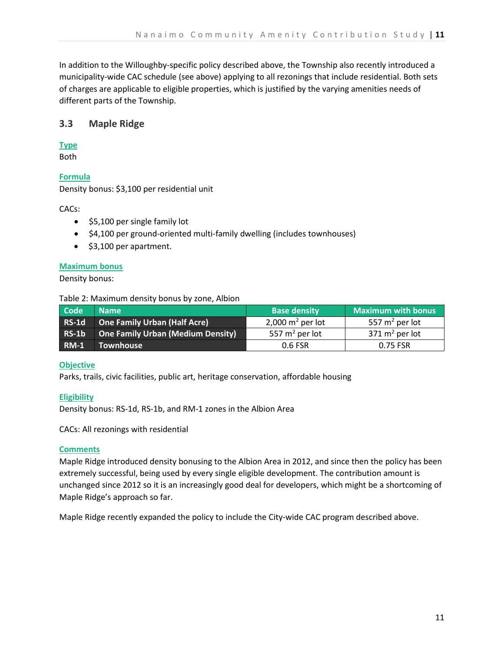In addition to the Willoughby-specific policy described above, the Township also recently introduced a municipality-wide CAC schedule (see above) applying to all rezonings that include residential. Both sets of charges are applicable to eligible properties, which is justified by the varying amenities needs of different parts of the Township.

### <span id="page-18-0"></span>**3.3 Maple Ridge**

#### **Type**

Both

### **Formula**

Density bonus: \$3,100 per residential unit

CACs:

- \$5,100 per single family lot
- \$4,100 per ground-oriented multi-family dwelling (includes townhouses)
- \$3,100 per apartment.

#### **Maximum bonus**

Density bonus:

#### Table 2: Maximum density bonus by zone, Albion

| <b>Code</b> | <b>Name</b>                              | <b>Base density</b> | <b>Maximum with bonus</b> |
|-------------|------------------------------------------|---------------------|---------------------------|
| $RS-1d$     | <b>One Family Urban (Half Acre)</b>      | 2,000 $m^2$ per lot | 557 $m^2$ per lot         |
| $RS-1b$     | <b>One Family Urban (Medium Density)</b> | 557 $m2$ per lot    | 371 $m2$ per lot          |
| $RM-1$      | <b>Townhouse</b>                         | 0.6 FSR             | 0.75 FSR                  |

#### **Objective**

Parks, trails, civic facilities, public art, heritage conservation, affordable housing

#### **Eligibility**

Density bonus: RS-1d, RS-1b, and RM-1 zones in the Albion Area

CACs: All rezonings with residential

#### **Comments**

Maple Ridge introduced density bonusing to the Albion Area in 2012, and since then the policy has been extremely successful, being used by every single eligible development. The contribution amount is unchanged since 2012 so it is an increasingly good deal for developers, which might be a shortcoming of Maple Ridge's approach so far.

<span id="page-18-1"></span>Maple Ridge recently expanded the policy to include the City-wide CAC program described above.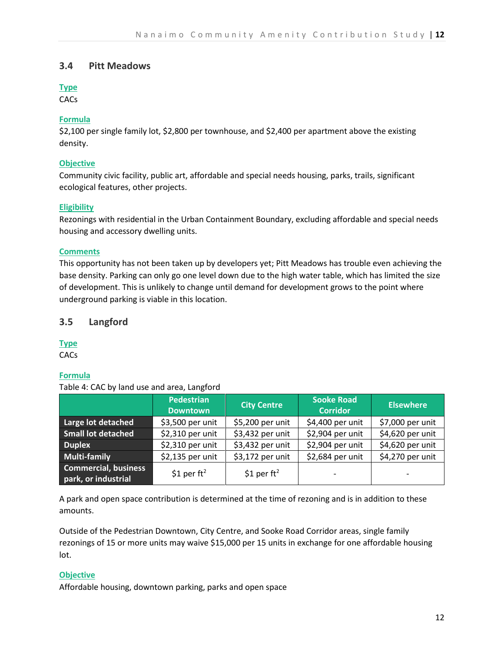# **3.4 Pitt Meadows**

### **Type**

CACs

#### **Formula**

\$2,100 per single family lot, \$2,800 per townhouse, and \$2,400 per apartment above the existing density.

### **Objective**

Community civic facility, public art, affordable and special needs housing, parks, trails, significant ecological features, other projects.

### **Eligibility**

Rezonings with residential in the Urban Containment Boundary, excluding affordable and special needs housing and accessory dwelling units.

### **Comments**

This opportunity has not been taken up by developers yet; Pitt Meadows has trouble even achieving the base density. Parking can only go one level down due to the high water table, which has limited the size of development. This is unlikely to change until demand for development grows to the point where underground parking is viable in this location.

# <span id="page-19-0"></span>**3.5 Langford**

### **Type**

CACs

### **Formula**

Table 4: CAC by land use and area, Langford

|                                                    | <b>Pedestrian</b><br><b>Downtown</b> | <b>City Centre</b> | <b>Sooke Road</b><br><b>Corridor</b> | <b>Elsewhere</b> |  |
|----------------------------------------------------|--------------------------------------|--------------------|--------------------------------------|------------------|--|
| Large lot detached                                 | \$3,500 per unit                     | \$5,200 per unit   | \$4,400 per unit                     | \$7,000 per unit |  |
| <b>Small lot detached</b>                          | \$2,310 per unit                     | \$3,432 per unit   | \$2,904 per unit                     | \$4,620 per unit |  |
| <b>Duplex</b>                                      | \$2,310 per unit                     | \$3,432 per unit   | \$2,904 per unit                     | \$4,620 per unit |  |
| <b>Multi-family</b>                                | \$2,135 per unit                     | \$3,172 per unit   | \$2,684 per unit                     | \$4,270 per unit |  |
| <b>Commercial, business</b><br>park, or industrial | \$1 per $ft^2$                       | \$1 per $ft^2$     |                                      |                  |  |

A park and open space contribution is determined at the time of rezoning and is in addition to these amounts.

Outside of the Pedestrian Downtown, City Centre, and Sooke Road Corridor areas, single family rezonings of 15 or more units may waive \$15,000 per 15 units in exchange for one affordable housing lot.

### **Objective**

Affordable housing, downtown parking, parks and open space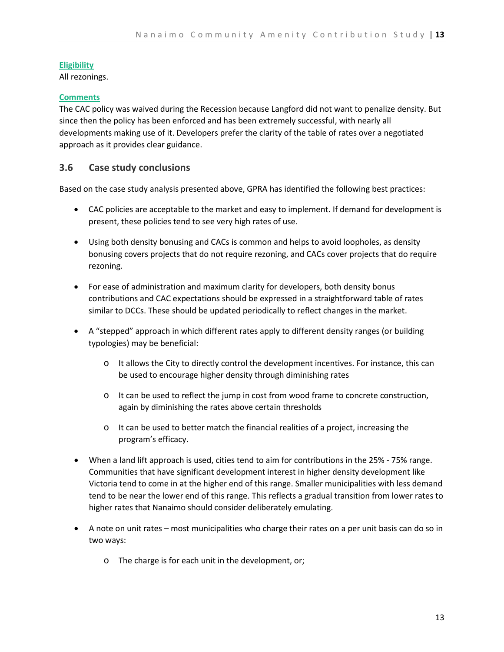#### **Eligibility**

All rezonings.

#### **Comments**

The CAC policy was waived during the Recession because Langford did not want to penalize density. But since then the policy has been enforced and has been extremely successful, with nearly all developments making use of it. Developers prefer the clarity of the table of rates over a negotiated approach as it provides clear guidance.

## <span id="page-20-0"></span>**3.6 Case study conclusions**

Based on the case study analysis presented above, GPRA has identified the following best practices:

- CAC policies are acceptable to the market and easy to implement. If demand for development is present, these policies tend to see very high rates of use.
- Using both density bonusing and CACs is common and helps to avoid loopholes, as density bonusing covers projects that do not require rezoning, and CACs cover projects that do require rezoning.
- For ease of administration and maximum clarity for developers, both density bonus contributions and CAC expectations should be expressed in a straightforward table of rates similar to DCCs. These should be updated periodically to reflect changes in the market.
- A "stepped" approach in which different rates apply to different density ranges (or building typologies) may be beneficial:
	- o It allows the City to directly control the development incentives. For instance, this can be used to encourage higher density through diminishing rates
	- o It can be used to reflect the jump in cost from wood frame to concrete construction, again by diminishing the rates above certain thresholds
	- o It can be used to better match the financial realities of a project, increasing the program's efficacy.
- When a land lift approach is used, cities tend to aim for contributions in the 25% 75% range. Communities that have significant development interest in higher density development like Victoria tend to come in at the higher end of this range. Smaller municipalities with less demand tend to be near the lower end of this range. This reflects a gradual transition from lower rates to higher rates that Nanaimo should consider deliberately emulating.
- A note on unit rates most municipalities who charge their rates on a per unit basis can do so in two ways:
	- o The charge is for each unit in the development, or;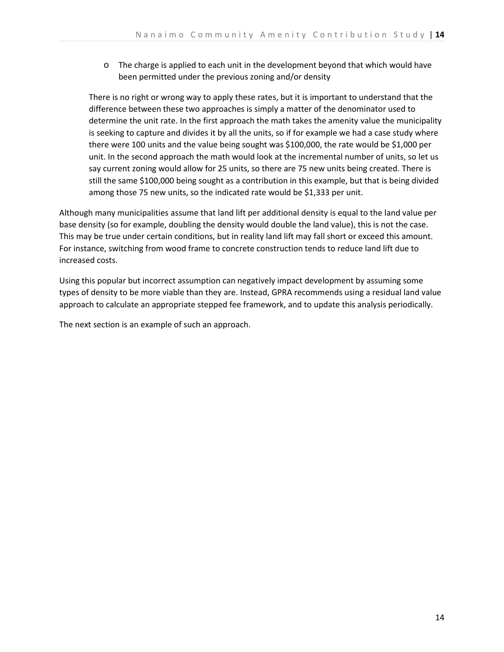$\circ$  The charge is applied to each unit in the development beyond that which would have been permitted under the previous zoning and/or density

There is no right or wrong way to apply these rates, but it is important to understand that the difference between these two approaches is simply a matter of the denominator used to determine the unit rate. In the first approach the math takes the amenity value the municipality is seeking to capture and divides it by all the units, so if for example we had a case study where there were 100 units and the value being sought was \$100,000, the rate would be \$1,000 per unit. In the second approach the math would look at the incremental number of units, so let us say current zoning would allow for 25 units, so there are 75 new units being created. There is still the same \$100,000 being sought as a contribution in this example, but that is being divided among those 75 new units, so the indicated rate would be \$1,333 per unit.

Although many municipalities assume that land lift per additional density is equal to the land value per base density (so for example, doubling the density would double the land value), this is not the case. This may be true under certain conditions, but in reality land lift may fall short or exceed this amount. For instance, switching from wood frame to concrete construction tends to reduce land lift due to increased costs.

Using this popular but incorrect assumption can negatively impact development by assuming some types of density to be more viable than they are. Instead, GPRA recommends using a residual land value approach to calculate an appropriate stepped fee framework, and to update this analysis periodically.

The next section is an example of such an approach.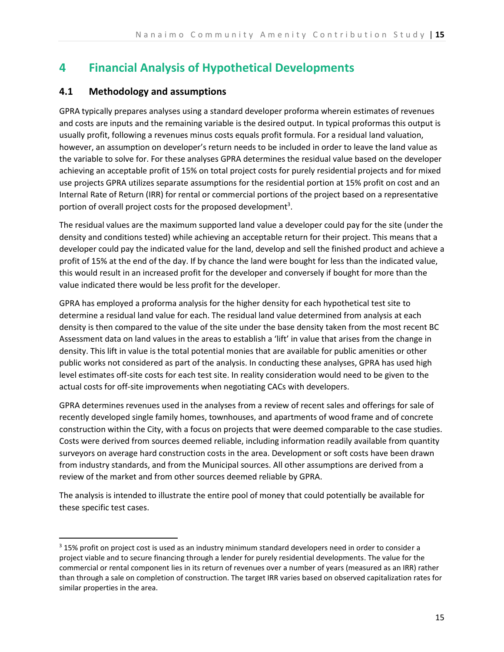# <span id="page-22-0"></span>**4 Financial Analysis of Hypothetical Developments**

# <span id="page-22-1"></span>**4.1 Methodology and assumptions**

GPRA typically prepares analyses using a standard developer proforma wherein estimates of revenues and costs are inputs and the remaining variable is the desired output. In typical proformas this output is usually profit, following a revenues minus costs equals profit formula. For a residual land valuation, however, an assumption on developer's return needs to be included in order to leave the land value as the variable to solve for. For these analyses GPRA determines the residual value based on the developer achieving an acceptable profit of 15% on total project costs for purely residential projects and for mixed use projects GPRA utilizes separate assumptions for the residential portion at 15% profit on cost and an Internal Rate of Return (IRR) for rental or commercial portions of the project based on a representative portion of overall project costs for the proposed development<sup>3</sup>.

The residual values are the maximum supported land value a developer could pay for the site (under the density and conditions tested) while achieving an acceptable return for their project. This means that a developer could pay the indicated value for the land, develop and sell the finished product and achieve a profit of 15% at the end of the day. If by chance the land were bought for less than the indicated value, this would result in an increased profit for the developer and conversely if bought for more than the value indicated there would be less profit for the developer.

GPRA has employed a proforma analysis for the higher density for each hypothetical test site to determine a residual land value for each. The residual land value determined from analysis at each density is then compared to the value of the site under the base density taken from the most recent BC Assessment data on land values in the areas to establish a 'lift' in value that arises from the change in density. This lift in value is the total potential monies that are available for public amenities or other public works not considered as part of the analysis. In conducting these analyses, GPRA has used high level estimates off-site costs for each test site. In reality consideration would need to be given to the actual costs for off-site improvements when negotiating CACs with developers.

GPRA determines revenues used in the analyses from a review of recent sales and offerings for sale of recently developed single family homes, townhouses, and apartments of wood frame and of concrete construction within the City, with a focus on projects that were deemed comparable to the case studies. Costs were derived from sources deemed reliable, including information readily available from quantity surveyors on average hard construction costs in the area. Development or soft costs have been drawn from industry standards, and from the Municipal sources. All other assumptions are derived from a review of the market and from other sources deemed reliable by GPRA.

The analysis is intended to illustrate the entire pool of money that could potentially be available for these specific test cases.

<sup>&</sup>lt;sup>3</sup> 15% profit on project cost is used as an industry minimum standard developers need in order to consider a project viable and to secure financing through a lender for purely residential developments. The value for the commercial or rental component lies in its return of revenues over a number of years (measured as an IRR) rather than through a sale on completion of construction. The target IRR varies based on observed capitalization rates for similar properties in the area.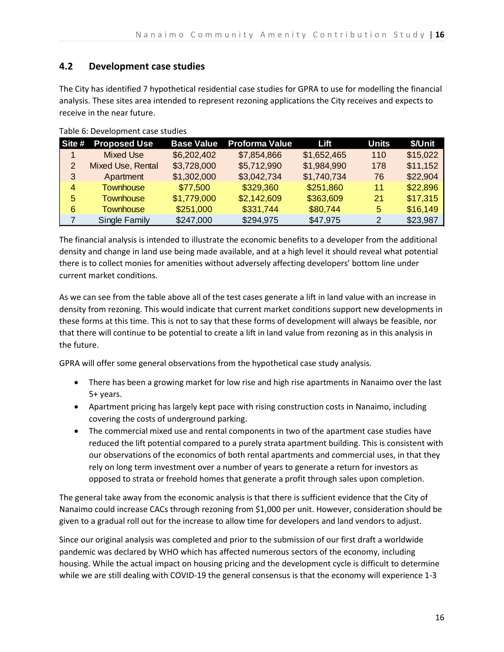# <span id="page-23-0"></span>**4.2 Development case studies**

The City has identified 7 hypothetical residential case studies for GPRA to use for modelling the financial analysis. These sites area intended to represent rezoning applications the City receives and expects to receive in the near future.

| Site # | <b>Proposed Use</b>      | <b>Base Value</b> | <b>Proforma Value</b> | Lift        | <b>Units</b> | \$/Unit  |
|--------|--------------------------|-------------------|-----------------------|-------------|--------------|----------|
|        | <b>Mixed Use</b>         | \$6,202,402       | \$7,854,866           | \$1,652,465 | 110          | \$15,022 |
| 2      | <b>Mixed Use, Rental</b> | \$3,728,000       | \$5,712,990           | \$1,984,990 | 178          | \$11,152 |
| 3      | Apartment                | \$1,302,000       | \$3,042,734           | \$1,740,734 | 76           | \$22,904 |
| 4      | <b>Townhouse</b>         | \$77,500          | \$329,360             | \$251,860   | 11           | \$22,896 |
| 5      | <b>Townhouse</b>         | \$1,779,000       | \$2,142,609           | \$363,609   | 21           | \$17,315 |
| 6      | Townhouse                | \$251,000         | \$331,744             | \$80,744    | 5            | \$16,149 |
|        | Single Family            | \$247,000         | \$294,975             | \$47,975    | 2            | \$23,987 |

Table 6: Development case studies

The financial analysis is intended to illustrate the economic benefits to a developer from the additional density and change in land use being made available, and at a high level it should reveal what potential there is to collect monies for amenities without adversely affecting developers' bottom line under current market conditions.

As we can see from the table above all of the test cases generate a lift in land value with an increase in density from rezoning. This would indicate that current market conditions support new developments in these forms at this time. This is not to say that these forms of development will always be feasible, nor that there will continue to be potential to create a lift in land value from rezoning as in this analysis in the future.

GPRA will offer some general observations from the hypothetical case study analysis.

- There has been a growing market for low rise and high rise apartments in Nanaimo over the last 5+ years.
- Apartment pricing has largely kept pace with rising construction costs in Nanaimo, including covering the costs of underground parking.
- The commercial mixed use and rental components in two of the apartment case studies have reduced the lift potential compared to a purely strata apartment building. This is consistent with our observations of the economics of both rental apartments and commercial uses, in that they rely on long term investment over a number of years to generate a return for investors as opposed to strata or freehold homes that generate a profit through sales upon completion.

The general take away from the economic analysis is that there is sufficient evidence that the City of Nanaimo could increase CACs through rezoning from \$1,000 per unit. However, consideration should be given to a gradual roll out for the increase to allow time for developers and land vendors to adjust.

Since our original analysis was completed and prior to the submission of our first draft a worldwide pandemic was declared by WHO which has affected numerous sectors of the economy, including housing. While the actual impact on housing pricing and the development cycle is difficult to determine while we are still dealing with COVID-19 the general consensus is that the economy will experience 1-3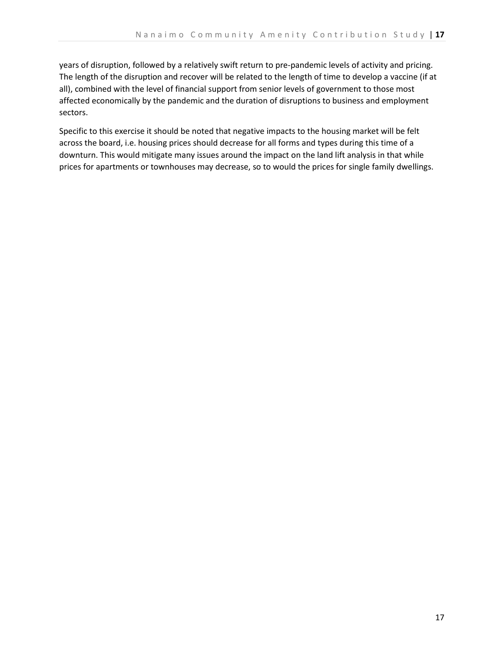years of disruption, followed by a relatively swift return to pre-pandemic levels of activity and pricing. The length of the disruption and recover will be related to the length of time to develop a vaccine (if at all), combined with the level of financial support from senior levels of government to those most affected economically by the pandemic and the duration of disruptions to business and employment sectors.

<span id="page-24-0"></span>Specific to this exercise it should be noted that negative impacts to the housing market will be felt across the board, i.e. housing prices should decrease for all forms and types during this time of a downturn. This would mitigate many issues around the impact on the land lift analysis in that while prices for apartments or townhouses may decrease, so to would the prices for single family dwellings.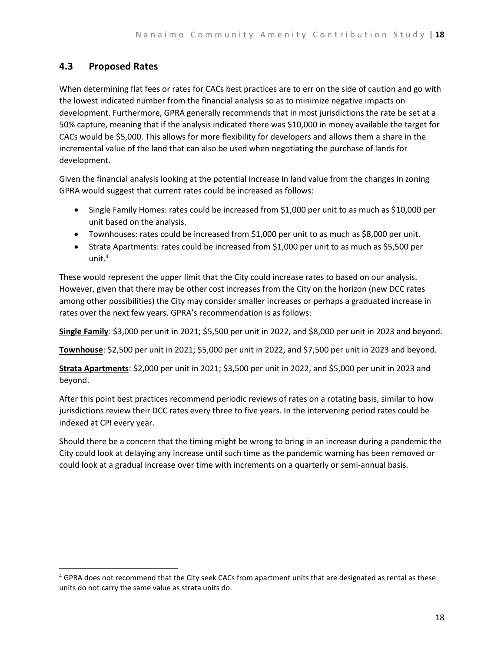# **4.3 Proposed Rates**

When determining flat fees or rates for CACs best practices are to err on the side of caution and go with the lowest indicated number from the financial analysis so as to minimize negative impacts on development. Furthermore, GPRA generally recommends that in most jurisdictions the rate be set at a 50% capture, meaning that if the analysis indicated there was \$10,000 in money available the target for CACs would be \$5,000. This allows for more flexibility for developers and allows them a share in the incremental value of the land that can also be used when negotiating the purchase of lands for development.

Given the financial analysis looking at the potential increase in land value from the changes in zoning GPRA would suggest that current rates could be increased as follows:

- Single Family Homes: rates could be increased from \$1,000 per unit to as much as \$10,000 per unit based on the analysis.
- Townhouses: rates could be increased from \$1,000 per unit to as much as \$8,000 per unit.
- Strata Apartments: rates could be increased from \$1,000 per unit to as much as \$5,500 per unit.<sup>4</sup>

These would represent the upper limit that the City could increase rates to based on our analysis. However, given that there may be other cost increases from the City on the horizon (new DCC rates among other possibilities) the City may consider smaller increases or perhaps a graduated increase in rates over the next few years. GPRA's recommendation is as follows:

**Single Family**: \$3,000 per unit in 2021; \$5,500 per unit in 2022, and \$8,000 per unit in 2023 and beyond.

**Townhouse**: \$2,500 per unit in 2021; \$5,000 per unit in 2022, and \$7,500 per unit in 2023 and beyond.

**Strata Apartments**: \$2,000 per unit in 2021; \$3,500 per unit in 2022, and \$5,000 per unit in 2023 and beyond.

After this point best practices recommend periodic reviews of rates on a rotating basis, similar to how jurisdictions review their DCC rates every three to five years. In the intervening period rates could be indexed at CPI every year.

Should there be a concern that the timing might be wrong to bring in an increase during a pandemic the City could look at delaying any increase until such time as the pandemic warning has been removed or could look at a gradual increase over time with increments on a quarterly or semi-annual basis.

<sup>&</sup>lt;sup>4</sup> GPRA does not recommend that the City seek CACs from apartment units that are designated as rental as these units do not carry the same value as strata units do.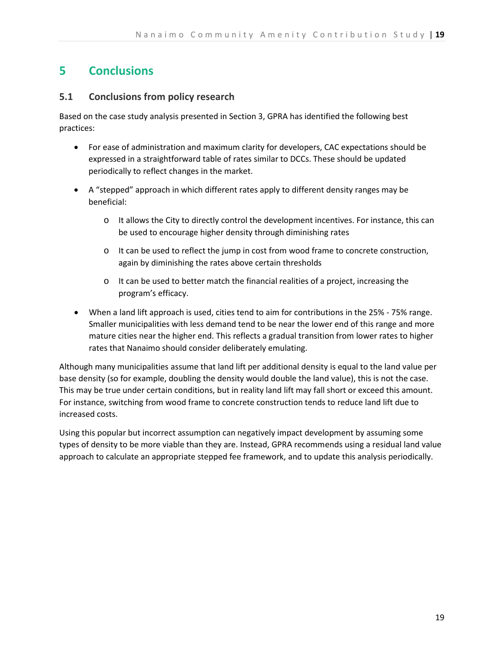# <span id="page-26-0"></span>**5 Conclusions**

## <span id="page-26-1"></span>**5.1 Conclusions from policy research**

Based on the case study analysis presented in Section 3, GPRA has identified the following best practices:

- For ease of administration and maximum clarity for developers, CAC expectations should be expressed in a straightforward table of rates similar to DCCs. These should be updated periodically to reflect changes in the market.
- A "stepped" approach in which different rates apply to different density ranges may be beneficial:
	- o It allows the City to directly control the development incentives. For instance, this can be used to encourage higher density through diminishing rates
	- o It can be used to reflect the jump in cost from wood frame to concrete construction, again by diminishing the rates above certain thresholds
	- o It can be used to better match the financial realities of a project, increasing the program's efficacy.
- When a land lift approach is used, cities tend to aim for contributions in the 25% 75% range. Smaller municipalities with less demand tend to be near the lower end of this range and more mature cities near the higher end. This reflects a gradual transition from lower rates to higher rates that Nanaimo should consider deliberately emulating.

Although many municipalities assume that land lift per additional density is equal to the land value per base density (so for example, doubling the density would double the land value), this is not the case. This may be true under certain conditions, but in reality land lift may fall short or exceed this amount. For instance, switching from wood frame to concrete construction tends to reduce land lift due to increased costs.

Using this popular but incorrect assumption can negatively impact development by assuming some types of density to be more viable than they are. Instead, GPRA recommends using a residual land value approach to calculate an appropriate stepped fee framework, and to update this analysis periodically.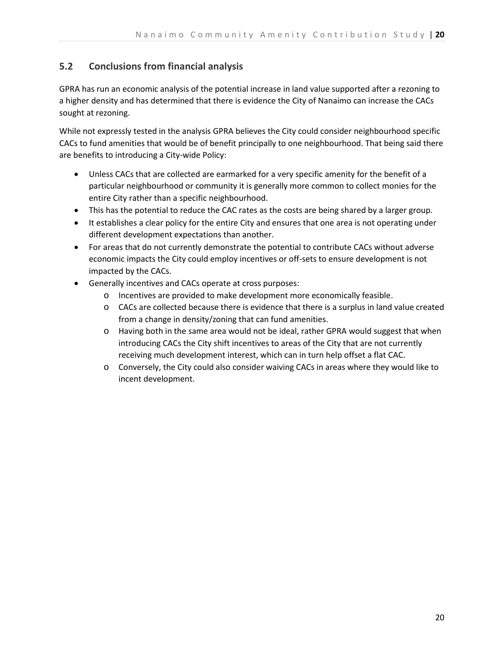# <span id="page-27-0"></span>**5.2 Conclusions from financial analysis**

GPRA has run an economic analysis of the potential increase in land value supported after a rezoning to a higher density and has determined that there is evidence the City of Nanaimo can increase the CACs sought at rezoning.

While not expressly tested in the analysis GPRA believes the City could consider neighbourhood specific CACs to fund amenities that would be of benefit principally to one neighbourhood. That being said there are benefits to introducing a City-wide Policy:

- Unless CACs that are collected are earmarked for a very specific amenity for the benefit of a particular neighbourhood or community it is generally more common to collect monies for the entire City rather than a specific neighbourhood.
- This has the potential to reduce the CAC rates as the costs are being shared by a larger group.
- It establishes a clear policy for the entire City and ensures that one area is not operating under different development expectations than another.
- For areas that do not currently demonstrate the potential to contribute CACs without adverse economic impacts the City could employ incentives or off-sets to ensure development is not impacted by the CACs.
- Generally incentives and CACs operate at cross purposes:
	- o Incentives are provided to make development more economically feasible.
	- $\circ$  CACs are collected because there is evidence that there is a surplus in land value created from a change in density/zoning that can fund amenities.
	- o Having both in the same area would not be ideal, rather GPRA would suggest that when introducing CACs the City shift incentives to areas of the City that are not currently receiving much development interest, which can in turn help offset a flat CAC.
	- o Conversely, the City could also consider waiving CACs in areas where they would like to incent development.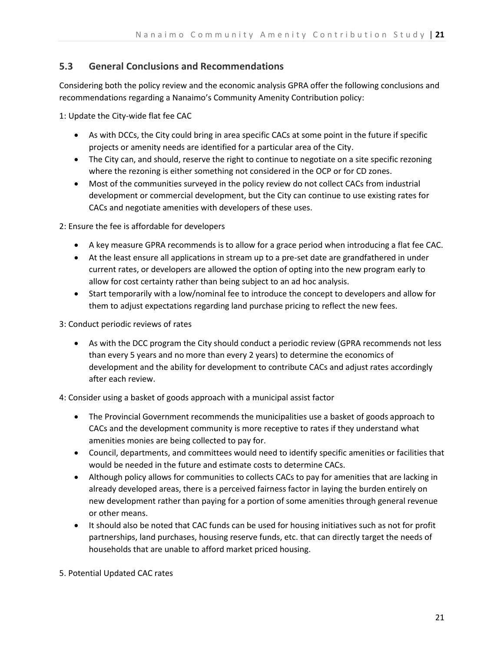# <span id="page-28-0"></span>**5.3 General Conclusions and Recommendations**

Considering both the policy review and the economic analysis GPRA offer the following conclusions and recommendations regarding a Nanaimo's Community Amenity Contribution policy:

1: Update the City-wide flat fee CAC

- As with DCCs, the City could bring in area specific CACs at some point in the future if specific projects or amenity needs are identified for a particular area of the City.
- The City can, and should, reserve the right to continue to negotiate on a site specific rezoning where the rezoning is either something not considered in the OCP or for CD zones.
- Most of the communities surveyed in the policy review do not collect CACs from industrial development or commercial development, but the City can continue to use existing rates for CACs and negotiate amenities with developers of these uses.

2: Ensure the fee is affordable for developers

- A key measure GPRA recommends is to allow for a grace period when introducing a flat fee CAC.
- At the least ensure all applications in stream up to a pre-set date are grandfathered in under current rates, or developers are allowed the option of opting into the new program early to allow for cost certainty rather than being subject to an ad hoc analysis.
- Start temporarily with a low/nominal fee to introduce the concept to developers and allow for them to adjust expectations regarding land purchase pricing to reflect the new fees.

3: Conduct periodic reviews of rates

• As with the DCC program the City should conduct a periodic review (GPRA recommends not less than every 5 years and no more than every 2 years) to determine the economics of development and the ability for development to contribute CACs and adjust rates accordingly after each review.

4: Consider using a basket of goods approach with a municipal assist factor

- The Provincial Government recommends the municipalities use a basket of goods approach to CACs and the development community is more receptive to rates if they understand what amenities monies are being collected to pay for.
- Council, departments, and committees would need to identify specific amenities or facilities that would be needed in the future and estimate costs to determine CACs.
- Although policy allows for communities to collects CACs to pay for amenities that are lacking in already developed areas, there is a perceived fairness factor in laying the burden entirely on new development rather than paying for a portion of some amenities through general revenue or other means.
- It should also be noted that CAC funds can be used for housing initiatives such as not for profit partnerships, land purchases, housing reserve funds, etc. that can directly target the needs of households that are unable to afford market priced housing.

#### 5. Potential Updated CAC rates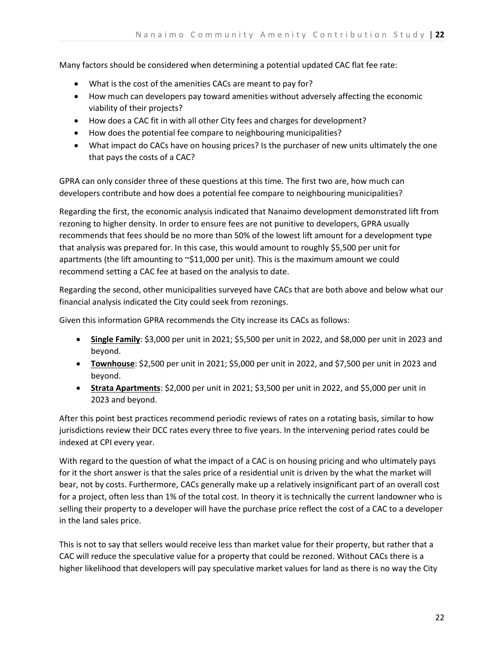Many factors should be considered when determining a potential updated CAC flat fee rate:

- What is the cost of the amenities CACs are meant to pay for?
- How much can developers pay toward amenities without adversely affecting the economic viability of their projects?
- How does a CAC fit in with all other City fees and charges for development?
- How does the potential fee compare to neighbouring municipalities?
- What impact do CACs have on housing prices? Is the purchaser of new units ultimately the one that pays the costs of a CAC?

GPRA can only consider three of these questions at this time. The first two are, how much can developers contribute and how does a potential fee compare to neighbouring municipalities?

Regarding the first, the economic analysis indicated that Nanaimo development demonstrated lift from rezoning to higher density. In order to ensure fees are not punitive to developers, GPRA usually recommends that fees should be no more than 50% of the lowest lift amount for a development type that analysis was prepared for. In this case, this would amount to roughly \$5,500 per unit for apartments (the lift amounting to ~\$11,000 per unit). This is the maximum amount we could recommend setting a CAC fee at based on the analysis to date.

Regarding the second, other municipalities surveyed have CACs that are both above and below what our financial analysis indicated the City could seek from rezonings.

Given this information GPRA recommends the City increase its CACs as follows:

- **Single Family**: \$3,000 per unit in 2021; \$5,500 per unit in 2022, and \$8,000 per unit in 2023 and beyond.
- **Townhouse**: \$2,500 per unit in 2021; \$5,000 per unit in 2022, and \$7,500 per unit in 2023 and beyond.
- **Strata Apartments**: \$2,000 per unit in 2021; \$3,500 per unit in 2022, and \$5,000 per unit in 2023 and beyond.

After this point best practices recommend periodic reviews of rates on a rotating basis, similar to how jurisdictions review their DCC rates every three to five years. In the intervening period rates could be indexed at CPI every year.

With regard to the question of what the impact of a CAC is on housing pricing and who ultimately pays for it the short answer is that the sales price of a residential unit is driven by the what the market will bear, not by costs. Furthermore, CACs generally make up a relatively insignificant part of an overall cost for a project, often less than 1% of the total cost. In theory it is technically the current landowner who is selling their property to a developer will have the purchase price reflect the cost of a CAC to a developer in the land sales price.

This is not to say that sellers would receive less than market value for their property, but rather that a CAC will reduce the speculative value for a property that could be rezoned. Without CACs there is a higher likelihood that developers will pay speculative market values for land as there is no way the City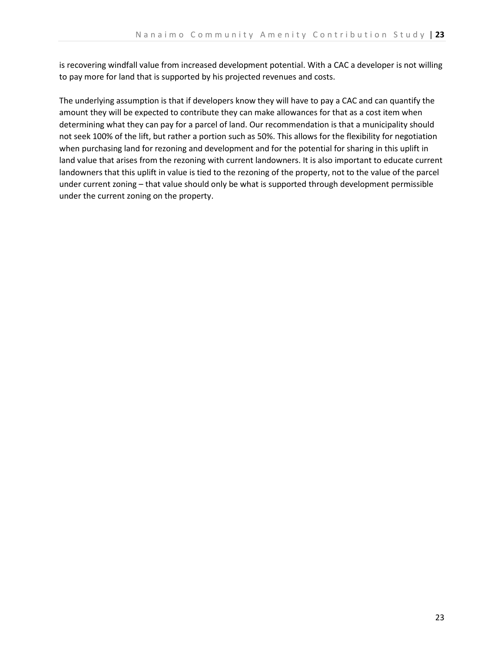is recovering windfall value from increased development potential. With a CAC a developer is not willing to pay more for land that is supported by his projected revenues and costs.

The underlying assumption is that if developers know they will have to pay a CAC and can quantify the amount they will be expected to contribute they can make allowances for that as a cost item when determining what they can pay for a parcel of land. Our recommendation is that a municipality should not seek 100% of the lift, but rather a portion such as 50%. This allows for the flexibility for negotiation when purchasing land for rezoning and development and for the potential for sharing in this uplift in land value that arises from the rezoning with current landowners. It is also important to educate current landowners that this uplift in value is tied to the rezoning of the property, not to the value of the parcel under current zoning – that value should only be what is supported through development permissible under the current zoning on the property.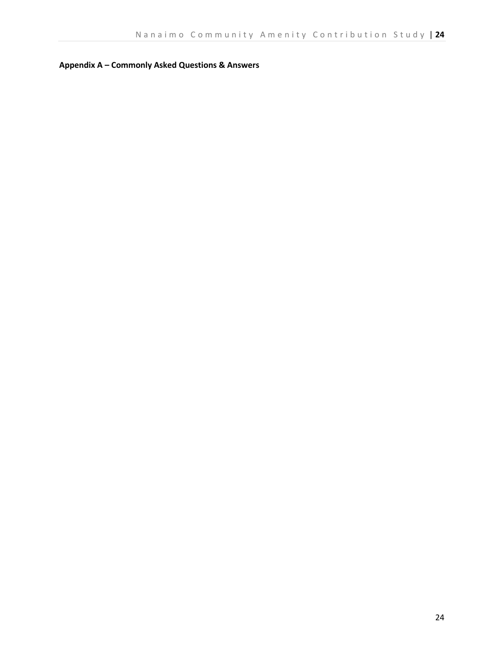## **Appendix A – Commonly Asked Questions & Answers**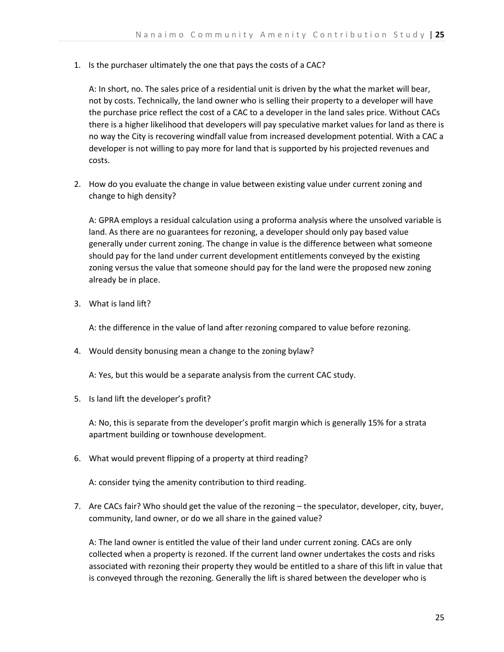1. Is the purchaser ultimately the one that pays the costs of a CAC?

A: In short, no. The sales price of a residential unit is driven by the what the market will bear, not by costs. Technically, the land owner who is selling their property to a developer will have the purchase price reflect the cost of a CAC to a developer in the land sales price. Without CACs there is a higher likelihood that developers will pay speculative market values for land as there is no way the City is recovering windfall value from increased development potential. With a CAC a developer is not willing to pay more for land that is supported by his projected revenues and costs.

2. How do you evaluate the change in value between existing value under current zoning and change to high density?

A: GPRA employs a residual calculation using a proforma analysis where the unsolved variable is land. As there are no guarantees for rezoning, a developer should only pay based value generally under current zoning. The change in value is the difference between what someone should pay for the land under current development entitlements conveyed by the existing zoning versus the value that someone should pay for the land were the proposed new zoning already be in place.

3. What is land lift?

A: the difference in the value of land after rezoning compared to value before rezoning.

4. Would density bonusing mean a change to the zoning bylaw?

A: Yes, but this would be a separate analysis from the current CAC study.

5. Is land lift the developer's profit?

A: No, this is separate from the developer's profit margin which is generally 15% for a strata apartment building or townhouse development.

6. What would prevent flipping of a property at third reading?

A: consider tying the amenity contribution to third reading.

7. Are CACs fair? Who should get the value of the rezoning – the speculator, developer, city, buyer, community, land owner, or do we all share in the gained value?

A: The land owner is entitled the value of their land under current zoning. CACs are only collected when a property is rezoned. If the current land owner undertakes the costs and risks associated with rezoning their property they would be entitled to a share of this lift in value that is conveyed through the rezoning. Generally the lift is shared between the developer who is